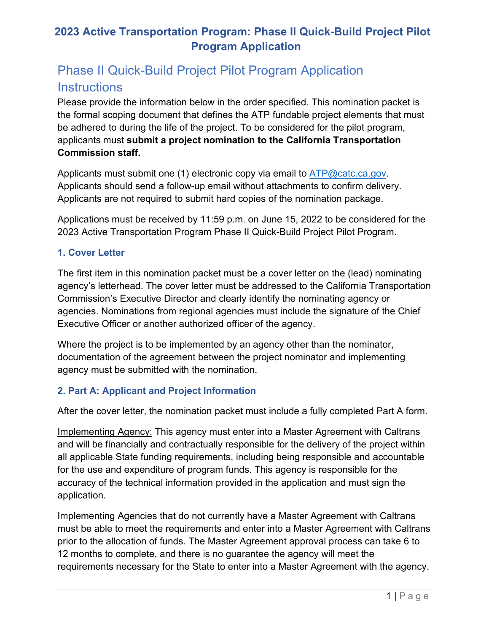# **2023 Active Transportation Program: Phase II Quick-Build Project Pilot Program Application**

# Phase II Quick-Build Project Pilot Program Application **Instructions**

 the formal scoping document that defines the ATP fundable project elements that must Please provide the information below in the order specified. This nomination packet is be adhered to during the life of the project. To be considered for the pilot program, applicants must **submit a project nomination to the California Transportation Commission staff.** 

Applicants must submit one (1) electronic copy via email to [ATP@catc.ca.gov.](mailto:ATP@catc.ca.gov) Applicants should send a follow-up email without attachments to confirm delivery. Applicants are not required to submit hard copies of the nomination package.

Applications must be received by 11:59 p.m. on June 15, 2022 to be considered for the 2023 Active Transportation Program Phase II Quick-Build Project Pilot Program.

## **1. Cover Letter**

 The first item in this nomination packet must be a cover letter on the (lead) nominating Executive Officer or another authorized officer of the agency. agency's letterhead. The cover letter must be addressed to the California Transportation Commission's Executive Director and clearly identify the nominating agency or agencies. Nominations from regional agencies must include the signature of the Chief

Where the project is to be implemented by an agency other than the nominator, documentation of the agreement between the project nominator and implementing agency must be submitted with the nomination.

## **2. Part A: Applicant and Project Information**

After the cover letter, the nomination packet must include a fully completed Part A form.

 for the use and expenditure of program funds. This agency is responsible for the Implementing Agency: This agency must enter into a Master Agreement with Caltrans and will be financially and contractually responsible for the delivery of the project within all applicable State funding requirements, including being responsible and accountable accuracy of the technical information provided in the application and must sign the application.

 must be able to meet the requirements and enter into a Master Agreement with Caltrans requirements necessary for the State to enter into a Master Agreement with the agency. Implementing Agencies that do not currently have a Master Agreement with Caltrans prior to the allocation of funds. The Master Agreement approval process can take 6 to 12 months to complete, and there is no guarantee the agency will meet the